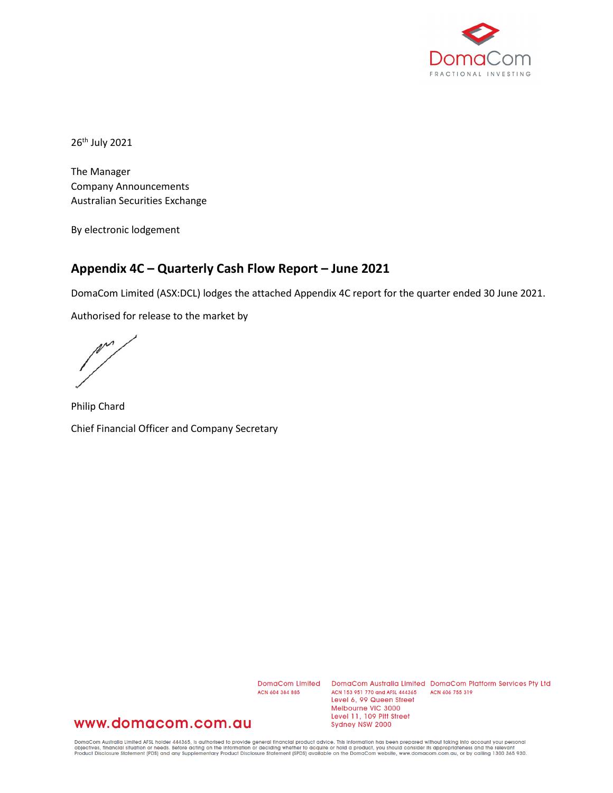

26th July 2021

The Manager Company Announcements Australian Securities Exchange

By electronic lodgement

# **Appendix 4C – Quarterly Cash Flow Report – June 2021**

DomaCom Limited (ASX:DCL) lodges the attached Appendix 4C report for the quarter ended 30 June 2021.

Authorised for release to the market by

 $\mathbb{M}^{\mathcal{M}}$ 

Philip Chard Chief Financial Officer and Company Secretary

ACN 604 384 885

DomaCom Limited DomaCom Australia Limited DomaCom Platform Services Pty Ltd ACN 153 951 770 and AFSL 444365 ACN 606 755 319 Level 6, 99 Queen Street Melbourne VIC 3000 Level 11, 109 Pitt Street Sydney NSW 2000

## www.domacom.com.au

DomaCom Australia Limited AFSL holder 444365, is authorised to provide general financial product advice. This information has been prepared without taking into account your personal<br>objectives, financial situation or needs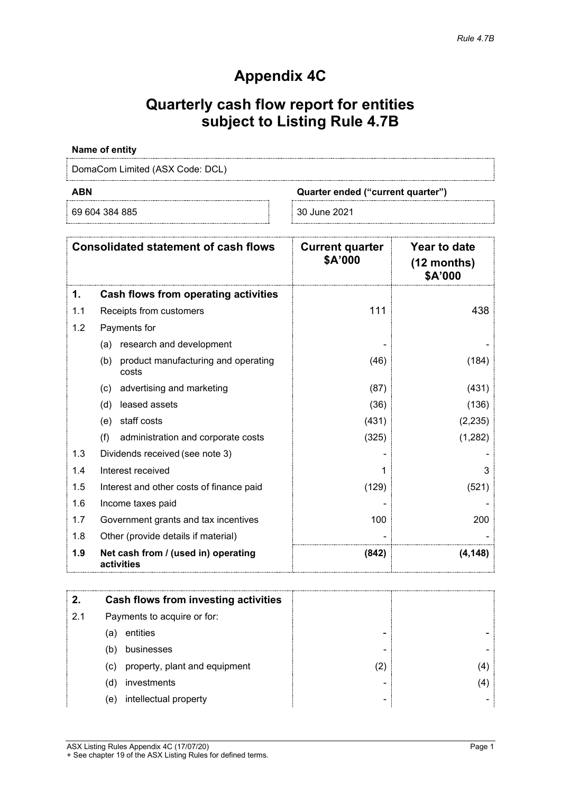# **Appendix 4C**

# **Quarterly cash flow report for entities subject to Listing Rule 4.7B**

### **Name of entity**

DomaCom Limited (ASX Code: DCL)

69 604 384 885 30 June 2021

**ABN Quarter ended ("current quarter")**

| <b>Consolidated statement of cash flows</b> |                                                     | <b>Current quarter</b><br>\$A'000 | Year to date<br>$(12$ months)<br>\$A'000 |  |
|---------------------------------------------|-----------------------------------------------------|-----------------------------------|------------------------------------------|--|
| 1.                                          | Cash flows from operating activities                |                                   |                                          |  |
| 1.1                                         | Receipts from customers                             | 111                               | 438                                      |  |
| 1.2                                         | Payments for                                        |                                   |                                          |  |
|                                             | research and development<br>(a)                     |                                   |                                          |  |
|                                             | product manufacturing and operating<br>(b)<br>costs | (46)                              | (184)                                    |  |
|                                             | advertising and marketing<br>(c)                    | (87)                              | (431)                                    |  |
|                                             | leased assets<br>(d)                                | (36)                              | (136)                                    |  |
|                                             | staff costs<br>(e)                                  | (431)                             | (2, 235)                                 |  |
|                                             | (f)<br>administration and corporate costs           | (325)                             | (1,282)                                  |  |
| 1.3                                         | Dividends received (see note 3)                     |                                   |                                          |  |
| 1.4                                         | Interest received                                   |                                   | 3                                        |  |
| 1.5                                         | Interest and other costs of finance paid            | (129)                             | (521)                                    |  |
| 1.6                                         | Income taxes paid                                   |                                   |                                          |  |
| 1.7                                         | Government grants and tax incentives                | 100                               | 200                                      |  |
| 1.8                                         | Other (provide details if material)                 |                                   |                                          |  |
| 1.9                                         | Net cash from / (used in) operating<br>activities   | (842)                             | (4, 148)                                 |  |

|     | Cash flows from investing activities |   |   |
|-----|--------------------------------------|---|---|
| 2.1 | Payments to acquire or for:          |   |   |
|     | entities<br>(a)                      |   |   |
|     | businesses<br>(b)                    |   |   |
|     | property, plant and equipment<br>(c) | 2 |   |
|     | investments<br>(d)                   |   | 4 |
|     | intellectual property<br>(e)         | - |   |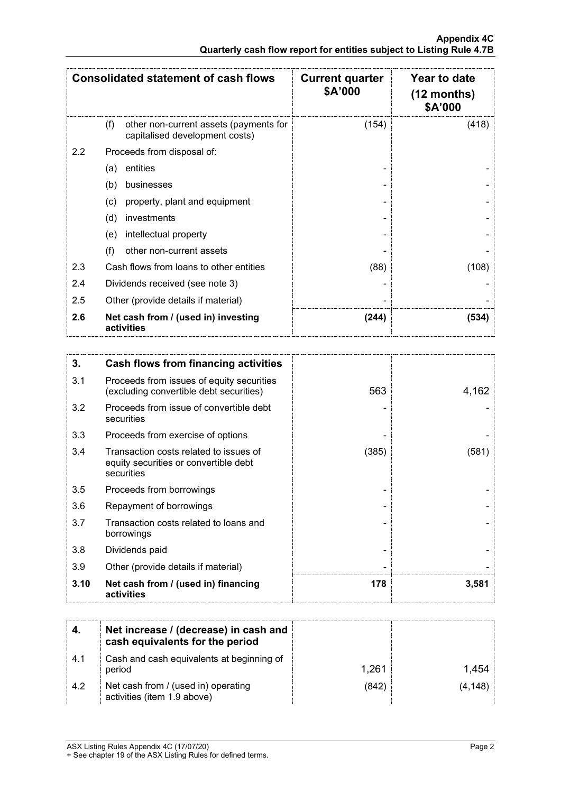|     | <b>Consolidated statement of cash flows</b>                                     | <b>Current quarter</b><br>\$A'000 | Year to date<br>(12 months)<br>\$A'000 |
|-----|---------------------------------------------------------------------------------|-----------------------------------|----------------------------------------|
|     | other non-current assets (payments for<br>(f)<br>capitalised development costs) | (154)                             | (418)                                  |
| 2.2 | Proceeds from disposal of:                                                      |                                   |                                        |
|     | entities<br>(a)                                                                 |                                   |                                        |
|     | (b)<br>businesses                                                               |                                   |                                        |
|     | property, plant and equipment<br>(c)                                            |                                   |                                        |
|     | (d)<br>investments                                                              |                                   |                                        |
|     | intellectual property<br>(e)                                                    |                                   |                                        |
|     | (f)<br>other non-current assets                                                 |                                   |                                        |
| 2.3 | Cash flows from loans to other entities                                         | (88)                              | (108)                                  |
| 2.4 | Dividends received (see note 3)                                                 |                                   |                                        |
| 2.5 | Other (provide details if material)                                             |                                   |                                        |
| 2.6 | Net cash from / (used in) investing<br>activities                               | (244)                             | (534)                                  |

| 3.   | Cash flows from financing activities                                                          |       |       |
|------|-----------------------------------------------------------------------------------------------|-------|-------|
| 3.1  | Proceeds from issues of equity securities<br>(excluding convertible debt securities)          | 563   | 4,162 |
| 3.2  | Proceeds from issue of convertible debt<br>securities                                         |       |       |
| 3.3  | Proceeds from exercise of options                                                             |       |       |
| 3.4  | Transaction costs related to issues of<br>equity securities or convertible debt<br>securities | (385) | (581) |
| 3.5  | Proceeds from borrowings                                                                      |       |       |
| 3.6  | Repayment of borrowings                                                                       |       |       |
| 3.7  | Transaction costs related to loans and<br>borrowings                                          |       |       |
| 3.8  | Dividends paid                                                                                |       |       |
| 3.9  | Other (provide details if material)                                                           |       |       |
| 3.10 | Net cash from / (used in) financing<br>activities                                             | 178   | 3,581 |

|      | Net increase / (decrease) in cash and<br>cash equivalents for the period |       |         |
|------|--------------------------------------------------------------------------|-------|---------|
| -4.1 | Cash and cash equivalents at beginning of<br>period                      | 1.261 | 1 454   |
| 4.2  | Net cash from / (used in) operating<br>activities (item 1.9 above)       | (842` | (4,148) |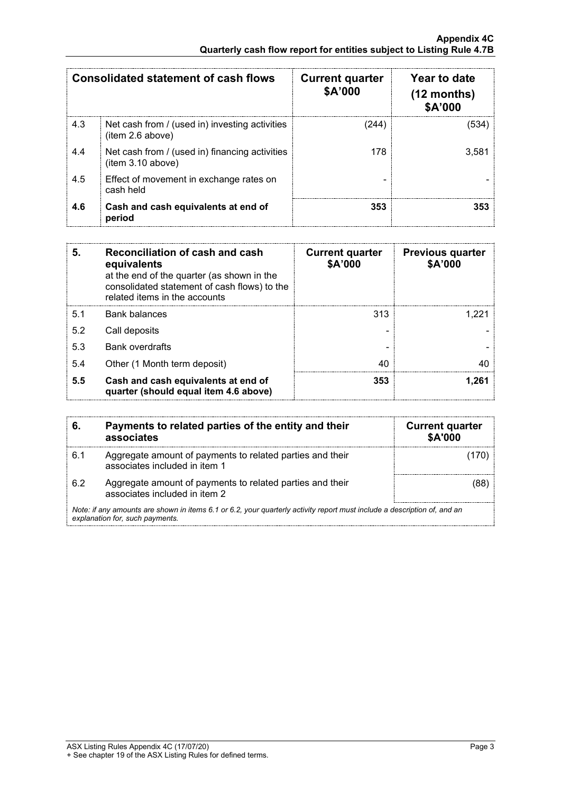| <b>Consolidated statement of cash flows</b> |                                                                     | <b>Current quarter</b><br>\$A'000 | Year to date<br>$(12$ months)<br>\$A'000 |
|---------------------------------------------|---------------------------------------------------------------------|-----------------------------------|------------------------------------------|
| 4.3                                         | Net cash from / (used in) investing activities<br>(item 2.6 above)  | (244)                             | '534                                     |
| 4.4                                         | Net cash from / (used in) financing activities<br>(item 3.10 above) | 178                               | 3.581                                    |
| 4.5                                         | Effect of movement in exchange rates on<br>cash held                |                                   |                                          |
| 4.6                                         | Cash and cash equivalents at end of<br>period                       | 353                               |                                          |

| 5.  | Reconciliation of cash and cash<br>equivalents<br>at the end of the quarter (as shown in the<br>consolidated statement of cash flows) to the<br>related items in the accounts | <b>Current quarter</b><br>\$A'000 | <b>Previous quarter</b><br>\$A'000 |
|-----|-------------------------------------------------------------------------------------------------------------------------------------------------------------------------------|-----------------------------------|------------------------------------|
| 5.1 | <b>Bank balances</b>                                                                                                                                                          | 313                               |                                    |
| 5.2 | Call deposits                                                                                                                                                                 |                                   |                                    |
| 5.3 | <b>Bank overdrafts</b>                                                                                                                                                        |                                   |                                    |
| 5.4 | Other (1 Month term deposit)                                                                                                                                                  | 40                                |                                    |
| 5.5 | Cash and cash equivalents at end of<br>quarter (should equal item 4.6 above)                                                                                                  | 353                               | .261                               |

| 6.  | Payments to related parties of the entity and their<br>associates                                                                                           | <b>Current quarter</b><br><b>\$A'000</b> |
|-----|-------------------------------------------------------------------------------------------------------------------------------------------------------------|------------------------------------------|
| 6.1 | Aggregate amount of payments to related parties and their<br>associates included in item 1                                                                  |                                          |
| 62  | Aggregate amount of payments to related parties and their<br>associates included in item 2                                                                  |                                          |
|     | Note: if any amounts are shown in items 6.1 or 6.2, your quarterly activity report must include a description of, and an<br>explanation for, such payments. |                                          |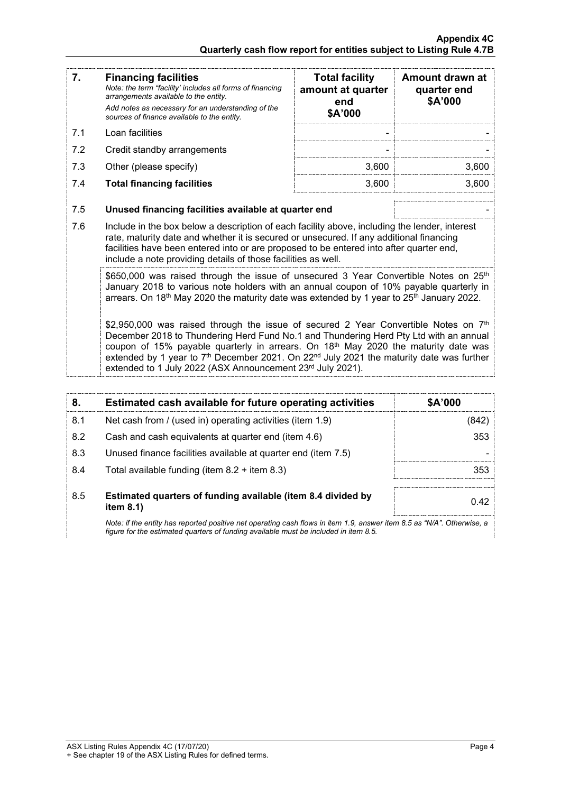| 7.  | <b>Financing facilities</b><br>Note: the term "facility' includes all forms of financing<br>arrangements available to the entity.<br>Add notes as necessary for an understanding of the<br>sources of finance available to the entity.                                                                                                                                                                                                                             | <b>Total facility</b><br>amount at quarter<br>end<br>\$A'000 | Amount drawn at<br>quarter end<br>\$A'000 |
|-----|--------------------------------------------------------------------------------------------------------------------------------------------------------------------------------------------------------------------------------------------------------------------------------------------------------------------------------------------------------------------------------------------------------------------------------------------------------------------|--------------------------------------------------------------|-------------------------------------------|
| 7.1 | Loan facilities                                                                                                                                                                                                                                                                                                                                                                                                                                                    |                                                              |                                           |
| 7.2 | Credit standby arrangements                                                                                                                                                                                                                                                                                                                                                                                                                                        |                                                              |                                           |
| 7.3 | Other (please specify)                                                                                                                                                                                                                                                                                                                                                                                                                                             | 3,600                                                        | 3,600                                     |
| 7.4 | <b>Total financing facilities</b>                                                                                                                                                                                                                                                                                                                                                                                                                                  | 3,600                                                        | 3,600                                     |
|     |                                                                                                                                                                                                                                                                                                                                                                                                                                                                    |                                                              |                                           |
| 7.5 | Unused financing facilities available at quarter end                                                                                                                                                                                                                                                                                                                                                                                                               |                                                              |                                           |
| 7.6 | Include in the box below a description of each facility above, including the lender, interest<br>rate, maturity date and whether it is secured or unsecured. If any additional financing<br>facilities have been entered into or are proposed to be entered into after quarter end,<br>include a note providing details of those facilities as well.                                                                                                               |                                                              |                                           |
|     | \$650,000 was raised through the issue of unsecured 3 Year Convertible Notes on 25 <sup>th</sup><br>January 2018 to various note holders with an annual coupon of 10% payable quarterly in<br>arrears. On 18 <sup>th</sup> May 2020 the maturity date was extended by 1 year to 25 <sup>th</sup> January 2022.                                                                                                                                                     |                                                              |                                           |
|     | \$2,950,000 was raised through the issue of secured 2 Year Convertible Notes on $7th$<br>December 2018 to Thundering Herd Fund No.1 and Thundering Herd Pty Ltd with an annual<br>coupon of 15% payable quarterly in arrears. On 18 <sup>th</sup> May 2020 the maturity date was<br>extended by 1 year to 7 <sup>th</sup> December 2021. On 22 <sup>nd</sup> July 2021 the maturity date was further<br>extended to 1 July 2022 (ASX Announcement 23rd July 2021). |                                                              |                                           |

| 8.  | Estimated cash available for future operating activities                                                               | \$A'000 |
|-----|------------------------------------------------------------------------------------------------------------------------|---------|
| 8.1 | Net cash from / (used in) operating activities (item 1.9)                                                              |         |
| 8.2 | Cash and cash equivalents at quarter end (item 4.6)                                                                    | 353     |
| 8.3 | Unused finance facilities available at quarter end (item 7.5)                                                          |         |
| 8.4 | Total available funding (item $8.2 +$ item $8.3$ )                                                                     | 353     |
| 8.5 | Estimated quarters of funding available (item 8.4 divided by<br>item $8.1$ )                                           | 0.42    |
|     | Note: if the entity has reported positive not energting soob flows in item 1.0. enouver item 9.5 on "N/A" Otherwise, a |         |

*Note: if the entity has reported positive net operating cash flows in item 1.9, answer item 8.5 as "N/A". Otherwise, a figure for the estimated quarters of funding available must be included in item 8.5.*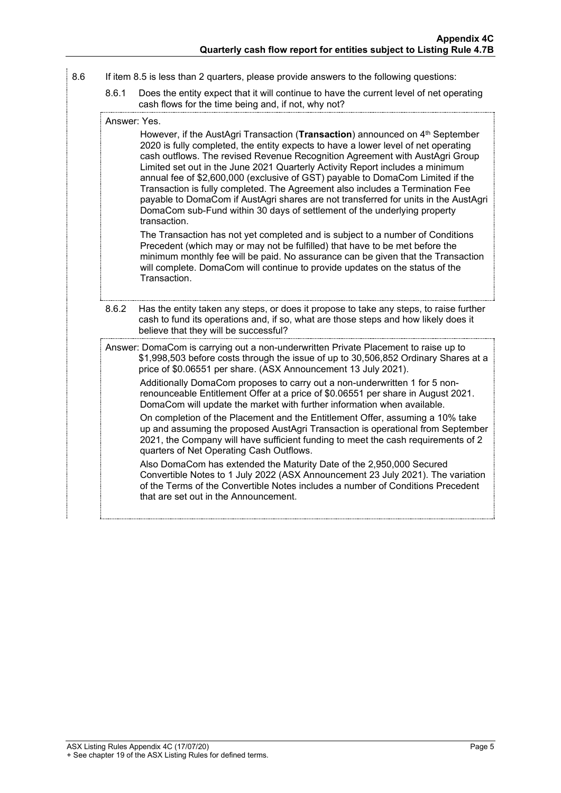- 8.6 If item 8.5 is less than 2 quarters, please provide answers to the following questions:
	- 8.6.1 Does the entity expect that it will continue to have the current level of net operating cash flows for the time being and, if not, why not?

#### Answer: Yes.

However, if the AustAgri Transaction (**Transaction**) announced on 4<sup>th</sup> September 2020 is fully completed, the entity expects to have a lower level of net operating cash outflows. The revised Revenue Recognition Agreement with AustAgri Group Limited set out in the June 2021 Quarterly Activity Report includes a minimum annual fee of \$2,600,000 (exclusive of GST) payable to DomaCom Limited if the Transaction is fully completed. The Agreement also includes a Termination Fee payable to DomaCom if AustAgri shares are not transferred for units in the AustAgri DomaCom sub-Fund within 30 days of settlement of the underlying property transaction.

The Transaction has not yet completed and is subject to a number of Conditions Precedent (which may or may not be fulfilled) that have to be met before the minimum monthly fee will be paid. No assurance can be given that the Transaction will complete. DomaCom will continue to provide updates on the status of the Transaction.

- 8.6.2 Has the entity taken any steps, or does it propose to take any steps, to raise further cash to fund its operations and, if so, what are those steps and how likely does it believe that they will be successful?
- Answer: DomaCom is carrying out a non-underwritten Private Placement to raise up to \$1,998,503 before costs through the issue of up to 30,506,852 Ordinary Shares at a price of \$0.06551 per share. (ASX Announcement 13 July 2021).

Additionally DomaCom proposes to carry out a non-underwritten 1 for 5 nonrenounceable Entitlement Offer at a price of \$0.06551 per share in August 2021. DomaCom will update the market with further information when available.

On completion of the Placement and the Entitlement Offer, assuming a 10% take up and assuming the proposed AustAgri Transaction is operational from September 2021, the Company will have sufficient funding to meet the cash requirements of 2 quarters of Net Operating Cash Outflows.

Also DomaCom has extended the Maturity Date of the 2,950,000 Secured Convertible Notes to 1 July 2022 (ASX Announcement 23 July 2021). The variation of the Terms of the Convertible Notes includes a number of Conditions Precedent that are set out in the Announcement.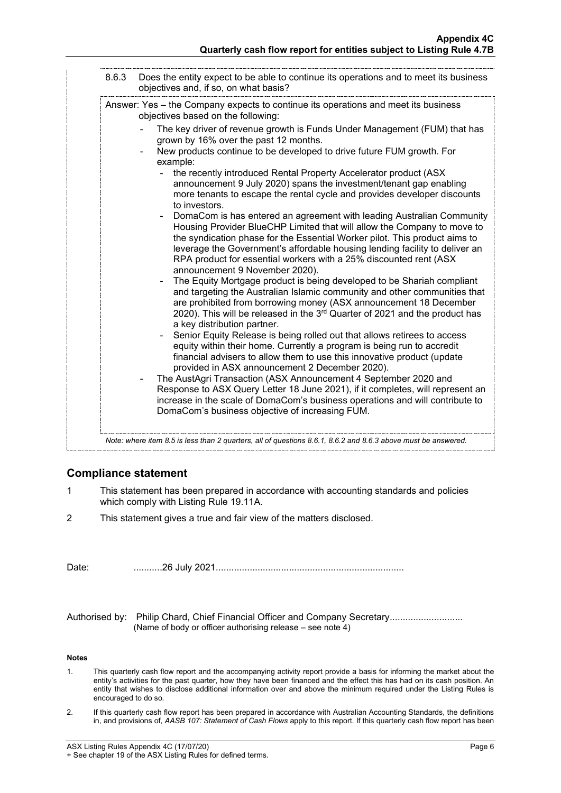| objectives and, if so, on what basis?                                                                                                                                                                                                                                                                                                                                                                                                                                                                                                                                                                                                                                                                                                                                                                                                                                                                                                                                                                                                                                                                                                                                                                                                                                                                                                                                                                                                                                                                                                                                                                                                                                                                                                                                                                    |
|----------------------------------------------------------------------------------------------------------------------------------------------------------------------------------------------------------------------------------------------------------------------------------------------------------------------------------------------------------------------------------------------------------------------------------------------------------------------------------------------------------------------------------------------------------------------------------------------------------------------------------------------------------------------------------------------------------------------------------------------------------------------------------------------------------------------------------------------------------------------------------------------------------------------------------------------------------------------------------------------------------------------------------------------------------------------------------------------------------------------------------------------------------------------------------------------------------------------------------------------------------------------------------------------------------------------------------------------------------------------------------------------------------------------------------------------------------------------------------------------------------------------------------------------------------------------------------------------------------------------------------------------------------------------------------------------------------------------------------------------------------------------------------------------------------|
| Answer: Yes – the Company expects to continue its operations and meet its business<br>objectives based on the following:                                                                                                                                                                                                                                                                                                                                                                                                                                                                                                                                                                                                                                                                                                                                                                                                                                                                                                                                                                                                                                                                                                                                                                                                                                                                                                                                                                                                                                                                                                                                                                                                                                                                                 |
| The key driver of revenue growth is Funds Under Management (FUM) that has<br>grown by 16% over the past 12 months.<br>New products continue to be developed to drive future FUM growth. For<br>example:<br>the recently introduced Rental Property Accelerator product (ASX<br>announcement 9 July 2020) spans the investment/tenant gap enabling<br>more tenants to escape the rental cycle and provides developer discounts<br>to investors.<br>DomaCom is has entered an agreement with leading Australian Community<br>Housing Provider BlueCHP Limited that will allow the Company to move to<br>the syndication phase for the Essential Worker pilot. This product aims to<br>leverage the Government's affordable housing lending facility to deliver an<br>RPA product for essential workers with a 25% discounted rent (ASX<br>announcement 9 November 2020).<br>The Equity Mortgage product is being developed to be Shariah compliant<br>and targeting the Australian Islamic community and other communities that<br>are prohibited from borrowing money (ASX announcement 18 December<br>2020). This will be released in the 3 <sup>rd</sup> Quarter of 2021 and the product has<br>a key distribution partner.<br>Senior Equity Release is being rolled out that allows retirees to access<br>equity within their home. Currently a program is being run to accredit<br>financial advisers to allow them to use this innovative product (update<br>provided in ASX announcement 2 December 2020).<br>The AustAgri Transaction (ASX Announcement 4 September 2020 and<br>Response to ASX Query Letter 18 June 2021), if it completes, will represent an<br>increase in the scale of DomaCom's business operations and will contribute to<br>DomaCom's business objective of increasing FUM. |

## **Compliance statement**

- 1 This statement has been prepared in accordance with accounting standards and policies which comply with Listing Rule 19.11A.
- 2 This statement gives a true and fair view of the matters disclosed.

Date: ...........26 July 2021........................................................................

Authorised by: Philip Chard, Chief Financial Officer and Company Secretary.......................... (Name of body or officer authorising release – see note 4)

#### **Notes**

- 1. This quarterly cash flow report and the accompanying activity report provide a basis for informing the market about the entity's activities for the past quarter, how they have been financed and the effect this has had on its cash position. An entity that wishes to disclose additional information over and above the minimum required under the Listing Rules is encouraged to do so.
- 2. If this quarterly cash flow report has been prepared in accordance with Australian Accounting Standards, the definitions in, and provisions of, *AASB 107: Statement of Cash Flows* apply to this report. If this quarterly cash flow report has been